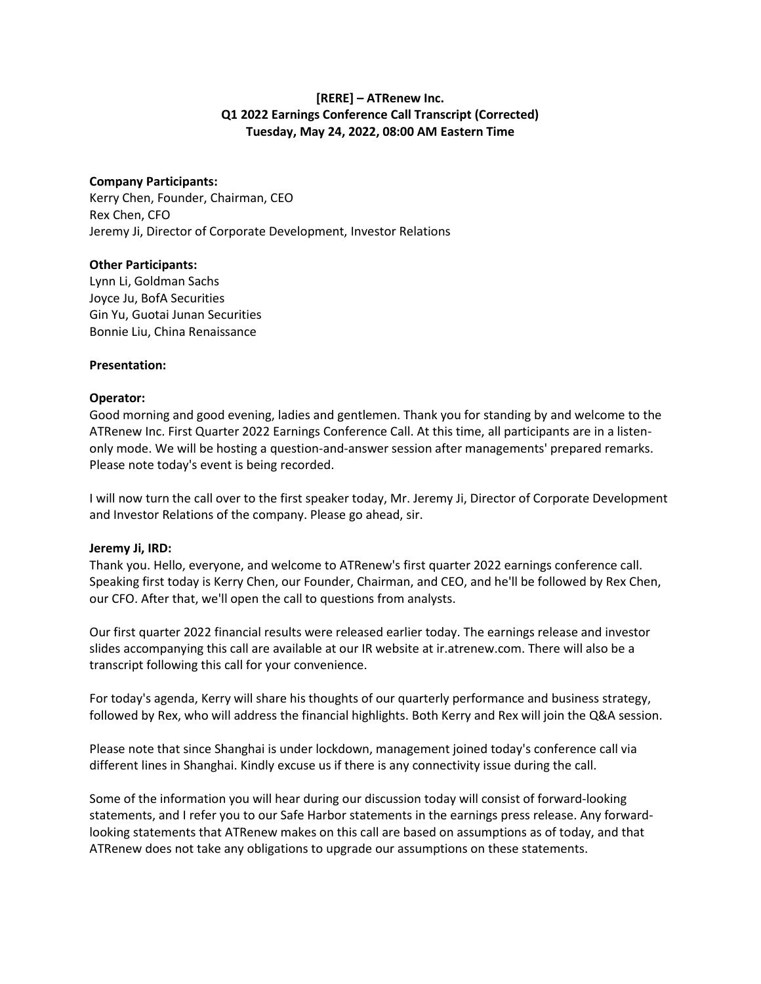# **[RERE] – ATRenew Inc. Q1 2022 Earnings Conference Call Transcript (Corrected) Tuesday, May 24, 2022, 08:00 AM Eastern Time**

# **Company Participants:**

Kerry Chen, Founder, Chairman, CEO Rex Chen, CFO Jeremy Ji, Director of Corporate Development, Investor Relations

# **Other Participants:**

Lynn Li, Goldman Sachs Joyce Ju, BofA Securities Gin Yu, Guotai Junan Securities Bonnie Liu, China Renaissance

#### **Presentation:**

# **Operator:**

Good morning and good evening, ladies and gentlemen. Thank you for standing by and welcome to the ATRenew Inc. First Quarter 2022 Earnings Conference Call. At this time, all participants are in a listenonly mode. We will be hosting a question-and-answer session after managements' prepared remarks. Please note today's event is being recorded.

I will now turn the call over to the first speaker today, Mr. Jeremy Ji, Director of Corporate Development and Investor Relations of the company. Please go ahead, sir.

#### **Jeremy Ji, IRD:**

Thank you. Hello, everyone, and welcome to ATRenew's first quarter 2022 earnings conference call. Speaking first today is Kerry Chen, our Founder, Chairman, and CEO, and he'll be followed by Rex Chen, our CFO. After that, we'll open the call to questions from analysts.

Our first quarter 2022 financial results were released earlier today. The earnings release and investor slides accompanying this call are available at our IR website at ir.atrenew.com. There will also be a transcript following this call for your convenience.

For today's agenda, Kerry will share his thoughts of our quarterly performance and business strategy, followed by Rex, who will address the financial highlights. Both Kerry and Rex will join the Q&A session.

Please note that since Shanghai is under lockdown, management joined today's conference call via different lines in Shanghai. Kindly excuse us if there is any connectivity issue during the call.

Some of the information you will hear during our discussion today will consist of forward-looking statements, and I refer you to our Safe Harbor statements in the earnings press release. Any forwardlooking statements that ATRenew makes on this call are based on assumptions as of today, and that ATRenew does not take any obligations to upgrade our assumptions on these statements.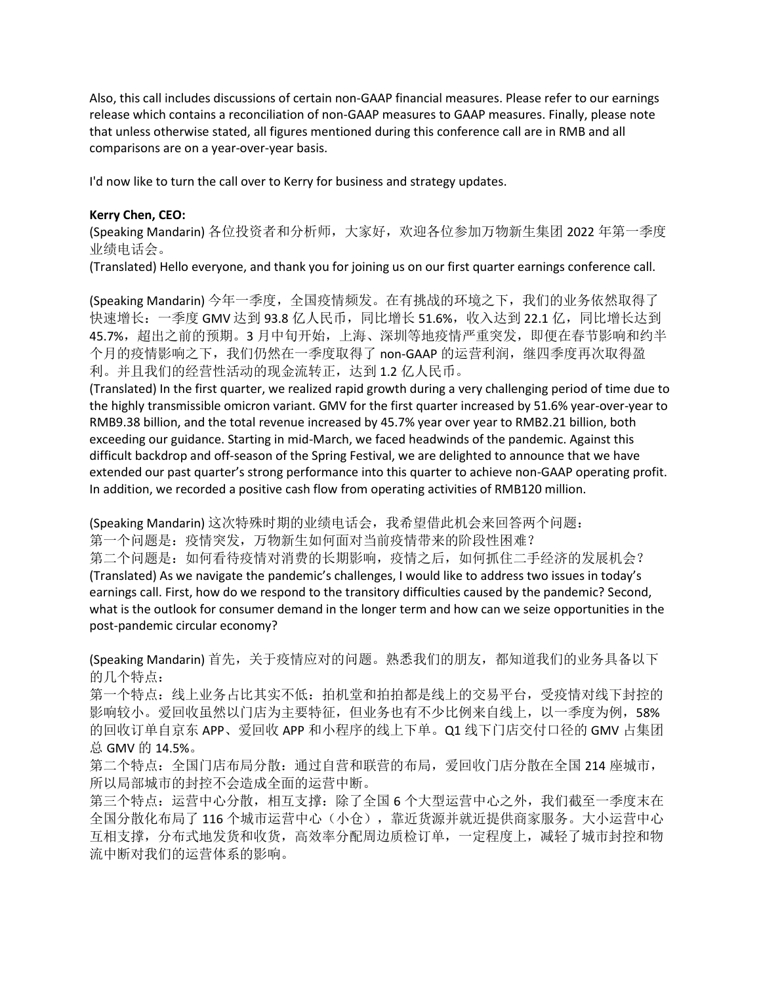Also, this call includes discussions of certain non-GAAP financial measures. Please refer to our earnings release which contains a reconciliation of non-GAAP measures to GAAP measures. Finally, please note that unless otherwise stated, all figures mentioned during this conference call are in RMB and all comparisons are on a year-over-year basis.

I'd now like to turn the call over to Kerry for business and strategy updates.

#### **Kerry Chen, CEO:**

(Speaking Mandarin) 各位投资者和分析师, 大家好, 欢迎各位参加万物新生集团 2022 年第一季度 业绩电话会。

(Translated) Hello everyone, and thank you for joining us on our first quarter earnings conference call.

(Speaking Mandarin) 今年一季度, 全国疫情频发。在有挑战的环境之下, 我们的业务依然取得了 快速增长: 一季度 GMV 达到 93.8 亿人民币, 同比增长 51.6%, 收入达到 22.1 亿, 同比增长达到 45.7%,超出之前的预期。3 月中旬开始,上海、深圳等地疫情严重突发,即便在春节影响和约半 个月的疫情影响之下,我们仍然在一季度取得了 non-GAAP 的运营利润,继四季度再次取得盈 利。并且我们的经营性活动的现金流转正,达到 1.2 亿人民币。

(Translated) In the first quarter, we realized rapid growth during a very challenging period of time due to the highly transmissible omicron variant. GMV for the first quarter increased by 51.6% year-over-year to RMB9.38 billion, and the total revenue increased by 45.7% year over year to RMB2.21 billion, both exceeding our guidance. Starting in mid-March, we faced headwinds of the pandemic. Against this difficult backdrop and off-season of the Spring Festival, we are delighted to announce that we have extended our past quarter's strong performance into this quarter to achieve non-GAAP operating profit. In addition, we recorded a positive cash flow from operating activities of RMB120 million.

(Speaking Mandarin) 这次特殊时期的业绩电话会,我希望借此机会来回答两个问题: 第一个问题是:疫情突发,万物新生如何面对当前疫情带来的阶段性困难? 第二个问题是:如何看待疫情对消费的长期影响,疫情之后,如何抓住二手经济的发展机会? (Translated) As we navigate the pandemic's challenges, I would like to address two issues in today's earnings call. First, how do we respond to the transitory difficulties caused by the pandemic? Second, what is the outlook for consumer demand in the longer term and how can we seize opportunities in the post-pandemic circular economy?

(Speaking Mandarin) 首先, 关于疫情应对的问题。熟悉我们的朋友, 都知道我们的业务具备以下 的几个特点:

第一个特点: 线上业务占比其实不低: 拍机堂和拍拍都是线上的交易平台, 受疫情对线下封控的 影响较小。爱回收虽然以门店为主要特征,但业务也有不少比例来自线上,以一季度为例,58% 的回收订单自京东 APP、爱回收 APP 和小程序的线上下单。Q1 线下门店交付口径的 GMV 占集团 总 GMV 的 14.5%。

第二个特点:全国门店布局分散:通过自营和联营的布局,爱回收门店分散在全国 214 座城市, 所以局部城市的封控不会造成全面的运营中断。

第三个特点:运营中心分散,相互支撑:除了全国 6 个大型运营中心之外,我们截至一季度末在 全国分散化布局了 116 个城市运营中心(小仓),靠近货源并就近提供商家服务。大小运营中心 互相支撑,分布式地发货和收货,高效率分配周边质检订单,一定程度上,减轻了城市封控和物 流中断对我们的运营体系的影响。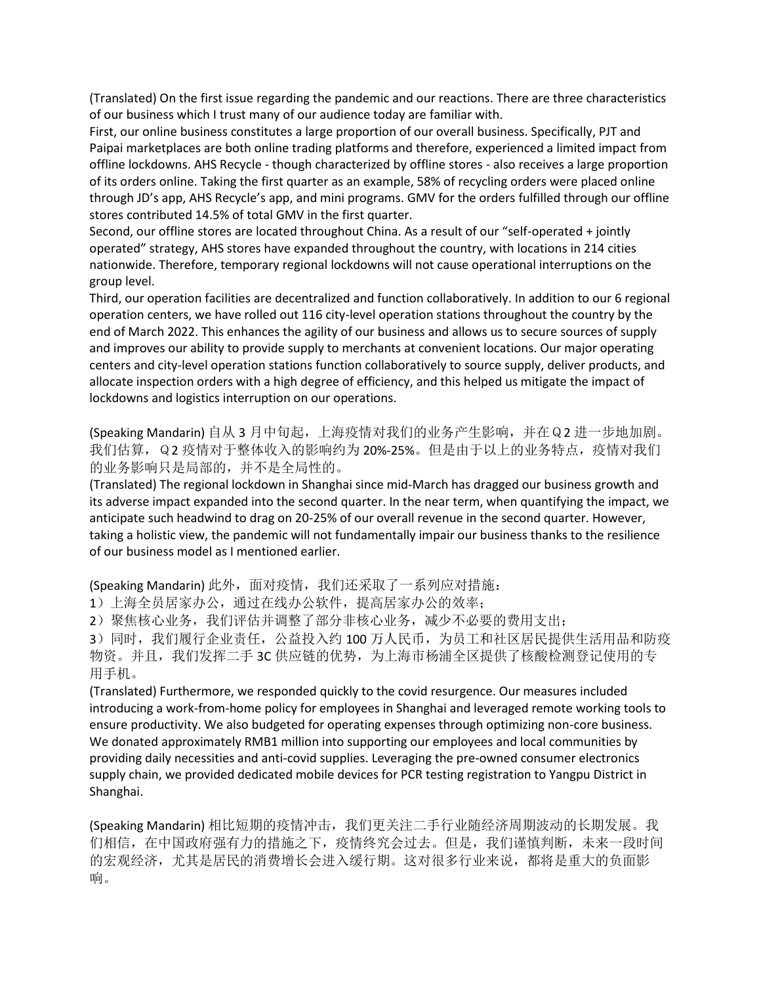(Translated) On the first issue regarding the pandemic and our reactions. There are three characteristics of our business which I trust many of our audience today are familiar with.

First, our online business constitutes a large proportion of our overall business. Specifically, PJT and Paipai marketplaces are both online trading platforms and therefore, experienced a limited impact from offline lockdowns. AHS Recycle - though characterized by offline stores - also receives a large proportion of its orders online. Taking the first quarter as an example, 58% of recycling orders were placed online through JD's app, AHS Recycle's app, and mini programs. GMV for the orders fulfilled through our offline stores contributed 14.5% of total GMV in the first quarter.

Second, our offline stores are located throughout China. As a result of our "self-operated + jointly operated" strategy, AHS stores have expanded throughout the country, with locations in 214 cities nationwide. Therefore, temporary regional lockdowns will not cause operational interruptions on the group level.

Third, our operation facilities are decentralized and function collaboratively. In addition to our 6 regional operation centers, we have rolled out 116 city-level operation stations throughout the country by the end of March 2022. This enhances the agility of our business and allows us to secure sources of supply and improves our ability to provide supply to merchants at convenient locations. Our major operating centers and city-level operation stations function collaboratively to source supply, deliver products, and allocate inspection orders with a high degree of efficiency, and this helped us mitigate the impact of lockdowns and logistics interruption on our operations.

(Speaking Mandarin) 自从 3 月中旬起,上海疫情对我们的业务产生影响,并在Q2 进一步地加剧。 我们估算, Q2 疫情对于整体收入的影响约为 20%-25%。但是由于以上的业务特点, 疫情对我们 的业务影响只是局部的,并不是全局性的。

(Translated) The regional lockdown in Shanghai since mid-March has dragged our business growth and its adverse impact expanded into the second quarter. In the near term, when quantifying the impact, we anticipate such headwind to drag on 20-25% of our overall revenue in the second quarter. However, taking a holistic view, the pandemic will not fundamentally impair our business thanks to the resilience of our business model as I mentioned earlier.

(Speaking Mandarin) 此外, 面对疫情, 我们还采取了一系列应对措施:

1)上海全员居家办公,通过在线办公软件,提高居家办公的效率;

2)聚焦核心业务,我们评估并调整了部分非核心业务,减少不必要的费用支出;

3)同时,我们履行企业责任,公益投入约 100 万人民币,为员工和社区居民提供生活用品和防疫 物资。并且,我们发挥二手 3C 供应链的优势,为上海市杨浦全区提供了核酸检测登记使用的专 用手机。

(Translated) Furthermore, we responded quickly to the covid resurgence. Our measures included introducing a work-from-home policy for employees in Shanghai and leveraged remote working tools to ensure productivity. We also budgeted for operating expenses through optimizing non-core business. We donated approximately RMB1 million into supporting our employees and local communities by providing daily necessities and anti-covid supplies. Leveraging the pre-owned consumer electronics supply chain, we provided dedicated mobile devices for PCR testing registration to Yangpu District in Shanghai.

(Speaking Mandarin) 相比短期的疫情冲击, 我们更关注二手行业随经济周期波动的长期发展。我 们相信,在中国政府强有力的措施之下,疫情终究会过去。但是,我们谨慎判断,未来一段时间 的宏观经济,尤其是居民的消费增长会进入缓行期。这对很多行业来说,都将是重大的负面影 响。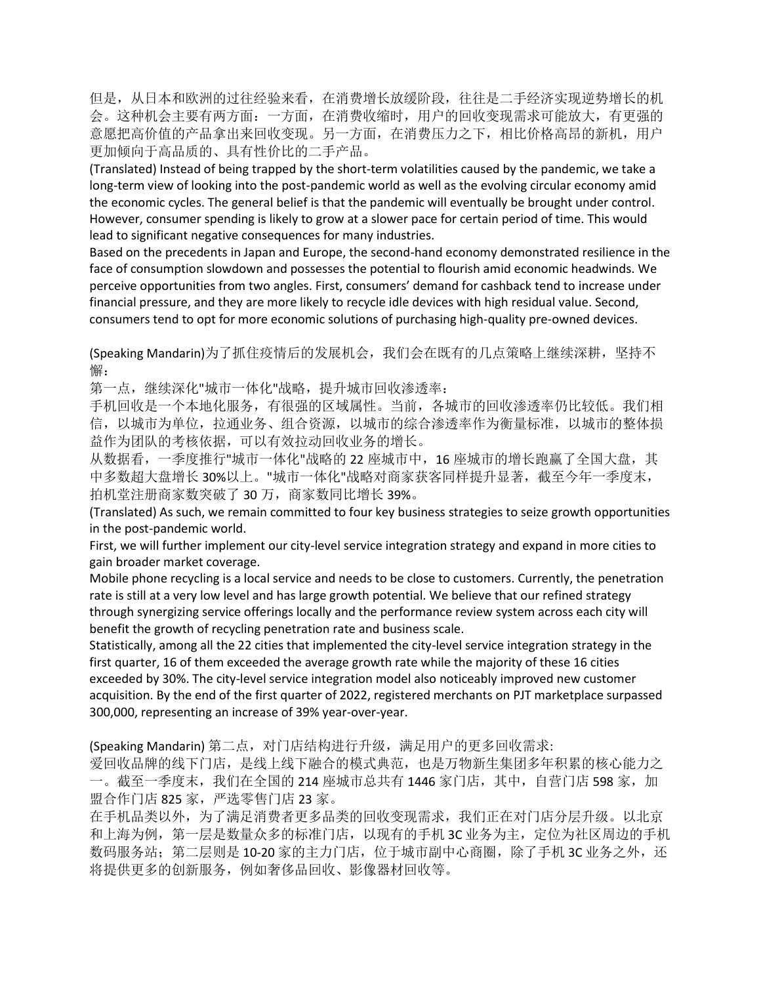但是,从日本和欧洲的过往经验来看,在消费增长放缓阶段,往往是二手经济实现逆势增长的机 会。这种机会主要有两方面:一方面,在消费收缩时,用户的回收变现需求可能放大,有更强的 意愿把高价值的产品拿出来回收变现。另一方面,在消费压力之下,相比价格高昂的新机,用户 更加倾向于高品质的、具有性价比的二手产品。

(Translated) Instead of being trapped by the short-term volatilities caused by the pandemic, we take a long-term view of looking into the post-pandemic world as well as the evolving circular economy amid the economic cycles. The general belief is that the pandemic will eventually be brought under control. However, consumer spending is likely to grow at a slower pace for certain period of time. This would lead to significant negative consequences for many industries.

Based on the precedents in Japan and Europe, the second-hand economy demonstrated resilience in the face of consumption slowdown and possesses the potential to flourish amid economic headwinds. We perceive opportunities from two angles. First, consumers' demand for cashback tend to increase under financial pressure, and they are more likely to recycle idle devices with high residual value. Second, consumers tend to opt for more economic solutions of purchasing high-quality pre-owned devices.

(Speaking Mandarin)为了抓住疫情后的发展机会,我们会在既有的几点策略上继续深耕,坚持不 懈:

第一点,继续深化"城市一体化"战略,提升城市回收渗透率:

手机回收是一个本地化服务,有很强的区域属性。当前,各城市的回收渗透率仍比较低。我们相 信,以城市为单位,拉通业务、组合资源,以城市的综合渗透率作为衡量标准,以城市的整体损 益作为团队的考核依据,可以有效拉动回收业务的增长。

从数据看,一季度推行"城市一体化"战略的22 座城市中,16 座城市的增长跑赢了全国大盘,其 中多数超大盘增长 30%以上。"城市一体化"战略对商家获客同样提升显著,截至今年一季度末, 拍机堂注册商家数突破了 30 万,商家数同比增长 39%。

(Translated) As such, we remain committed to four key business strategies to seize growth opportunities in the post-pandemic world.

First, we will further implement our city-level service integration strategy and expand in more cities to gain broader market coverage.

Mobile phone recycling is a local service and needs to be close to customers. Currently, the penetration rate is still at a very low level and has large growth potential. We believe that our refined strategy through synergizing service offerings locally and the performance review system across each city will benefit the growth of recycling penetration rate and business scale.

Statistically, among all the 22 cities that implemented the city-level service integration strategy in the first quarter, 16 of them exceeded the average growth rate while the majority of these 16 cities exceeded by 30%. The city-level service integration model also noticeably improved new customer acquisition. By the end of the first quarter of 2022, registered merchants on PJT marketplace surpassed 300,000, representing an increase of 39% year-over-year.

(Speaking Mandarin) 第二点,对门店结构进行升级,满足用户的更多回收需求:

爱回收品牌的线下门店,是线上线下融合的模式典范,也是万物新生集团多年积累的核心能力之 一。截至一季度末,我们在全国的 214 座城市总共有 1446 家门店,其中,自营门店 598 家,加 盟合作门店 825 家,严选零售门店 23 家。

在手机品类以外,为了满足消费者更多品类的回收变现需求,我们正在对门店分层升级。以北京 和上海为例,第一层是数量众多的标准门店,以现有的手机 3C 业务为主,定位为社区周边的手机 数码服务站;第二层则是 10-20 家的主力门店,位于城市副中心商圈,除了手机 3C 业务之外, 还 将提供更多的创新服务,例如奢侈品回收、影像器材回收等。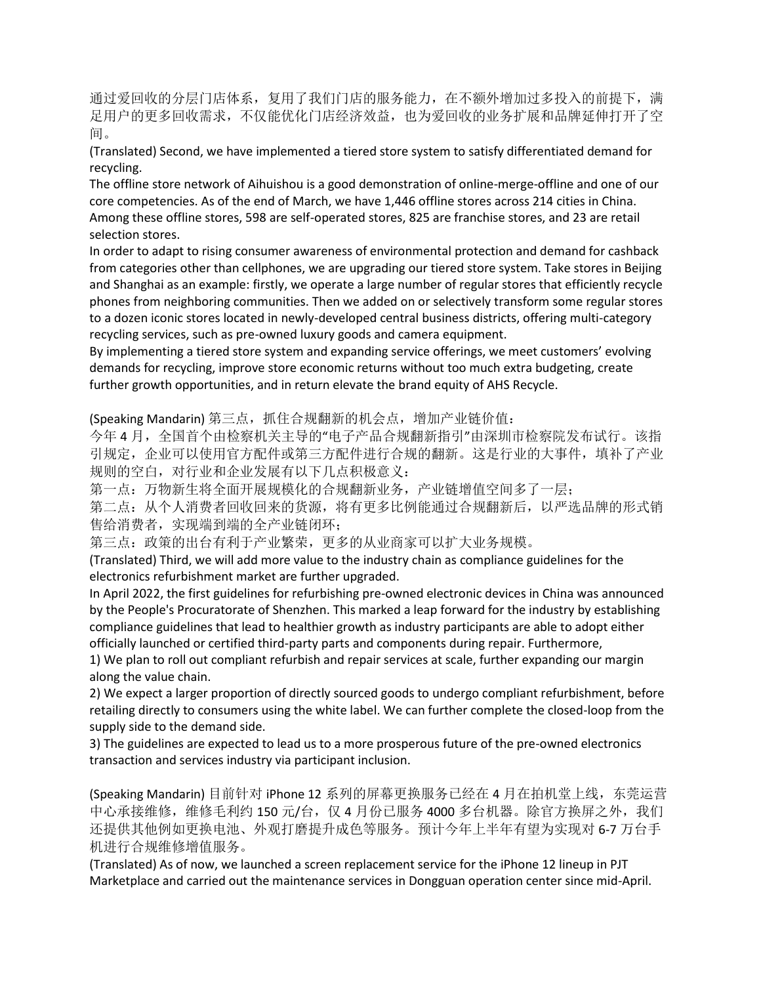通过爱回收的分层门店体系,复用了我们门店的服务能力,在不额外增加过多投入的前提下,满 足用户的更多回收需求,不仅能优化门店经济效益,也为爱回收的业务扩展和品牌延伸打开了空 间。

(Translated) Second, we have implemented a tiered store system to satisfy differentiated demand for recycling.

The offline store network of Aihuishou is a good demonstration of online-merge-offline and one of our core competencies. As of the end of March, we have 1,446 offline stores across 214 cities in China. Among these offline stores, 598 are self-operated stores, 825 are franchise stores, and 23 are retail selection stores.

In order to adapt to rising consumer awareness of environmental protection and demand for cashback from categories other than cellphones, we are upgrading our tiered store system. Take stores in Beijing and Shanghai as an example: firstly, we operate a large number of regular stores that efficiently recycle phones from neighboring communities. Then we added on or selectively transform some regular stores to a dozen iconic stores located in newly-developed central business districts, offering multi-category recycling services, such as pre-owned luxury goods and camera equipment.

By implementing a tiered store system and expanding service offerings, we meet customers' evolving demands for recycling, improve store economic returns without too much extra budgeting, create further growth opportunities, and in return elevate the brand equity of AHS Recycle.

(Speaking Mandarin) 第三点, 抓住合规翻新的机会点, 增加产业链价值:

今年4月,全国首个由检察机关主导的"电子产品合规翻新指引"由深圳市检察院发布试行。该指 引规定,企业可以使用官方配件或第三方配件进行合规的翻新。这是行业的大事件,填补了产业 规则的空白,对行业和企业发展有以下几点积极意义:

第一点:万物新生将全面开展规模化的合规翻新业务,产业链增值空间多了一层;

第二点: 从个人消费者回收回来的货源, 将有更多比例能通过合规翻新后, 以严选品牌的形式销 售给消费者,实现端到端的全产业链闭环;

第三点:政策的出台有利于产业繁荣,更多的从业商家可以扩大业务规模。

(Translated) Third, we will add more value to the industry chain as compliance guidelines for the electronics refurbishment market are further upgraded.

In April 2022, the first guidelines for refurbishing pre-owned electronic devices in China was announced by the People's Procuratorate of Shenzhen. This marked a leap forward for the industry by establishing compliance guidelines that lead to healthier growth as industry participants are able to adopt either officially launched or certified third-party parts and components during repair. Furthermore,

1) We plan to roll out compliant refurbish and repair services at scale, further expanding our margin along the value chain.

2) We expect a larger proportion of directly sourced goods to undergo compliant refurbishment, before retailing directly to consumers using the white label. We can further complete the closed-loop from the supply side to the demand side.

3) The guidelines are expected to lead us to a more prosperous future of the pre-owned electronics transaction and services industry via participant inclusion.

(Speaking Mandarin) 目前针对 iPhone 12 系列的屏幕更换服务已经在 4 月在拍机堂上线,东莞运营 中心承接维修,维修毛利约 150 元/台,仅4月份已服务 4000 多台机器。除官方换屏之外,我们 还提供其他例如更换电池、外观打磨提升成色等服务。预计今年上半年有望为实现对 6-7 万台手 机进行合规维修增值服务。

(Translated) As of now, we launched a screen replacement service for the iPhone 12 lineup in PJT Marketplace and carried out the maintenance services in Dongguan operation center since mid-April.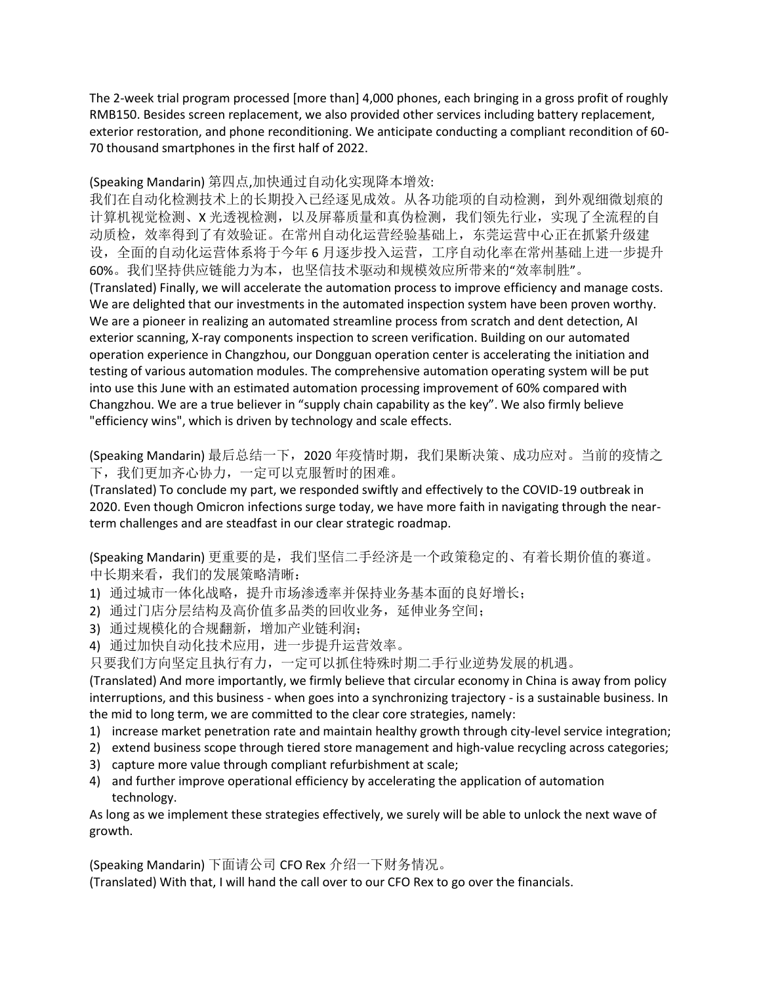The 2-week trial program processed [more than] 4,000 phones, each bringing in a gross profit of roughly RMB150. Besides screen replacement, we also provided other services including battery replacement, exterior restoration, and phone reconditioning. We anticipate conducting a compliant recondition of 60- 70 thousand smartphones in the first half of 2022.

(Speaking Mandarin) 第四点,加快通过自动化实现降本增效:

我们在自动化检测技术上的长期投入已经逐见成效。从各功能项的自动检测,到外观细微划痕的 计算机视觉检测、X 光透视检测, 以及屏幕质量和真伪检测, 我们领先行业, 实现了全流程的自 动质检,效率得到了有效验证。在常州自动化运营经验基础上,东莞运营中心正在抓紧升级建 设,全面的自动化运营体系将于今年 6 月逐步投入运营,工序自动化率在常州基础上进一步提升 60%。我们坚持供应链能力为本,也坚信技术驱动和规模效应所带来的"效率制胜"。 (Translated) Finally, we will accelerate the automation process to improve efficiency and manage costs. We are delighted that our investments in the automated inspection system have been proven worthy. We are a pioneer in realizing an automated streamline process from scratch and dent detection, AI exterior scanning, X-ray components inspection to screen verification. Building on our automated operation experience in Changzhou, our Dongguan operation center is accelerating the initiation and testing of various automation modules. The comprehensive automation operating system will be put into use this June with an estimated automation processing improvement of 60% compared with Changzhou. We are a true believer in "supply chain capability as the key". We also firmly believe "efficiency wins", which is driven by technology and scale effects.

(Speaking Mandarin) 最后总结一下, 2020 年疫情时期, 我们果断决策、成功应对。当前的疫情之 下,我们更加齐心协力,一定可以克服暂时的困难。

(Translated) To conclude my part, we responded swiftly and effectively to the COVID-19 outbreak in 2020. Even though Omicron infections surge today, we have more faith in navigating through the nearterm challenges and are steadfast in our clear strategic roadmap.

(Speaking Mandarin) 更重要的是, 我们坚信二手经济是一个政策稳定的、有着长期价值的赛道。 中长期来看,我们的发展策略清晰:

- 1) 通过城市一体化战略,提升市场渗透率并保持业务基本面的良好增长;
- 2) 通过门店分层结构及高价值多品类的回收业务,延伸业务空间;
- 3) 通过规模化的合规翻新,增加产业链利润;
- 4) 通过加快自动化技术应用,进一步提升运营效率。

只要我们方向坚定且执行有力,一定可以抓住特殊时期二手行业逆势发展的机遇。

(Translated) And more importantly, we firmly believe that circular economy in China is away from policy interruptions, and this business - when goes into a synchronizing trajectory - is a sustainable business. In the mid to long term, we are committed to the clear core strategies, namely:

- 1) increase market penetration rate and maintain healthy growth through city-level service integration;
- 2) extend business scope through tiered store management and high-value recycling across categories;
- 3) capture more value through compliant refurbishment at scale;
- 4) and further improve operational efficiency by accelerating the application of automation technology.

As long as we implement these strategies effectively, we surely will be able to unlock the next wave of growth.

(Speaking Mandarin) 下面请公司 CFO Rex 介绍一下财务情况。 (Translated) With that, I will hand the call over to our CFO Rex to go over the financials.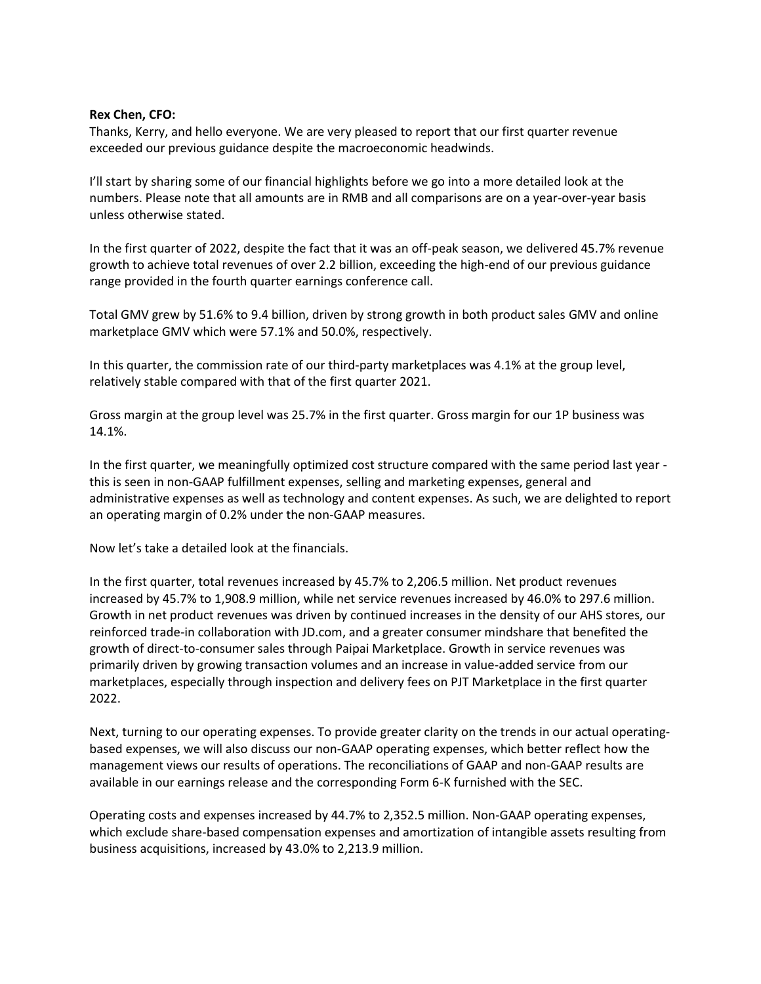#### **Rex Chen, CFO:**

Thanks, Kerry, and hello everyone. We are very pleased to report that our first quarter revenue exceeded our previous guidance despite the macroeconomic headwinds.

I'll start by sharing some of our financial highlights before we go into a more detailed look at the numbers. Please note that all amounts are in RMB and all comparisons are on a year-over-year basis unless otherwise stated.

In the first quarter of 2022, despite the fact that it was an off-peak season, we delivered 45.7% revenue growth to achieve total revenues of over 2.2 billion, exceeding the high-end of our previous guidance range provided in the fourth quarter earnings conference call.

Total GMV grew by 51.6% to 9.4 billion, driven by strong growth in both product sales GMV and online marketplace GMV which were 57.1% and 50.0%, respectively.

In this quarter, the commission rate of our third-party marketplaces was 4.1% at the group level, relatively stable compared with that of the first quarter 2021.

Gross margin at the group level was 25.7% in the first quarter. Gross margin for our 1P business was 14.1%.

In the first quarter, we meaningfully optimized cost structure compared with the same period last year this is seen in non-GAAP fulfillment expenses, selling and marketing expenses, general and administrative expenses as well as technology and content expenses. As such, we are delighted to report an operating margin of 0.2% under the non-GAAP measures.

Now let's take a detailed look at the financials.

In the first quarter, total revenues increased by 45.7% to 2,206.5 million. Net product revenues increased by 45.7% to 1,908.9 million, while net service revenues increased by 46.0% to 297.6 million. Growth in net product revenues was driven by continued increases in the density of our AHS stores, our reinforced trade-in collaboration with JD.com, and a greater consumer mindshare that benefited the growth of direct-to-consumer sales through Paipai Marketplace. Growth in service revenues was primarily driven by growing transaction volumes and an increase in value-added service from our marketplaces, especially through inspection and delivery fees on PJT Marketplace in the first quarter 2022.

Next, turning to our operating expenses. To provide greater clarity on the trends in our actual operatingbased expenses, we will also discuss our non-GAAP operating expenses, which better reflect how the management views our results of operations. The reconciliations of GAAP and non-GAAP results are available in our earnings release and the corresponding Form 6-K furnished with the SEC.

Operating costs and expenses increased by 44.7% to 2,352.5 million. Non-GAAP operating expenses, which exclude share-based compensation expenses and amortization of intangible assets resulting from business acquisitions, increased by 43.0% to 2,213.9 million.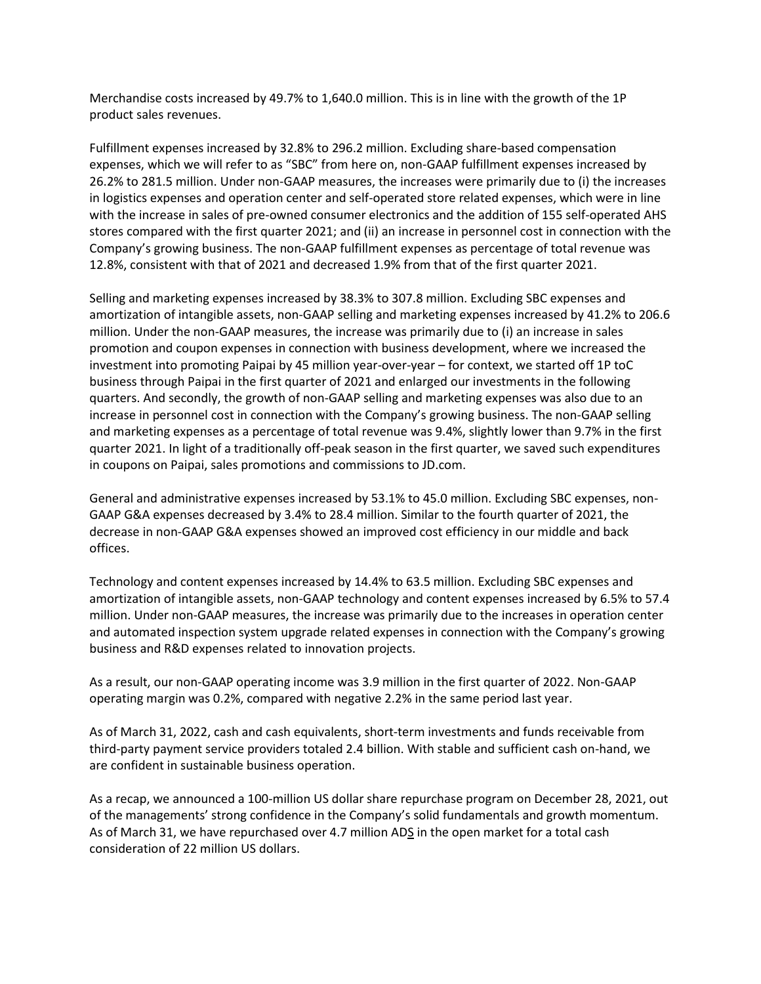Merchandise costs increased by 49.7% to 1,640.0 million. This is in line with the growth of the 1P product sales revenues.

Fulfillment expenses increased by 32.8% to 296.2 million. Excluding share-based compensation expenses, which we will refer to as "SBC" from here on, non-GAAP fulfillment expenses increased by 26.2% to 281.5 million. Under non-GAAP measures, the increases were primarily due to (i) the increases in logistics expenses and operation center and self-operated store related expenses, which were in line with the increase in sales of pre-owned consumer electronics and the addition of 155 self-operated AHS stores compared with the first quarter 2021; and (ii) an increase in personnel cost in connection with the Company's growing business. The non-GAAP fulfillment expenses as percentage of total revenue was 12.8%, consistent with that of 2021 and decreased 1.9% from that of the first quarter 2021.

Selling and marketing expenses increased by 38.3% to 307.8 million. Excluding SBC expenses and amortization of intangible assets, non-GAAP selling and marketing expenses increased by 41.2% to 206.6 million. Under the non-GAAP measures, the increase was primarily due to (i) an increase in sales promotion and coupon expenses in connection with business development, where we increased the investment into promoting Paipai by 45 million year-over-year – for context, we started off 1P toC business through Paipai in the first quarter of 2021 and enlarged our investments in the following quarters. And secondly, the growth of non-GAAP selling and marketing expenses was also due to an increase in personnel cost in connection with the Company's growing business. The non-GAAP selling and marketing expenses as a percentage of total revenue was 9.4%, slightly lower than 9.7% in the first quarter 2021. In light of a traditionally off-peak season in the first quarter, we saved such expenditures in coupons on Paipai, sales promotions and commissions to JD.com.

General and administrative expenses increased by 53.1% to 45.0 million. Excluding SBC expenses, non-GAAP G&A expenses decreased by 3.4% to 28.4 million. Similar to the fourth quarter of 2021, the decrease in non-GAAP G&A expenses showed an improved cost efficiency in our middle and back offices.

Technology and content expenses increased by 14.4% to 63.5 million. Excluding SBC expenses and amortization of intangible assets, non-GAAP technology and content expenses increased by 6.5% to 57.4 million. Under non-GAAP measures, the increase was primarily due to the increases in operation center and automated inspection system upgrade related expenses in connection with the Company's growing business and R&D expenses related to innovation projects.

As a result, our non-GAAP operating income was 3.9 million in the first quarter of 2022. Non-GAAP operating margin was 0.2%, compared with negative 2.2% in the same period last year.

As of March 31, 2022, cash and cash equivalents, short-term investments and funds receivable from third-party payment service providers totaled 2.4 billion. With stable and sufficient cash on-hand, we are confident in sustainable business operation.

As a recap, we announced a 100-million US dollar share repurchase program on December 28, 2021, out of the managements' strong confidence in the Company's solid fundamentals and growth momentum. As of March 31, we have repurchased over 4.7 million ADS in the open market for a total cash consideration of 22 million US dollars.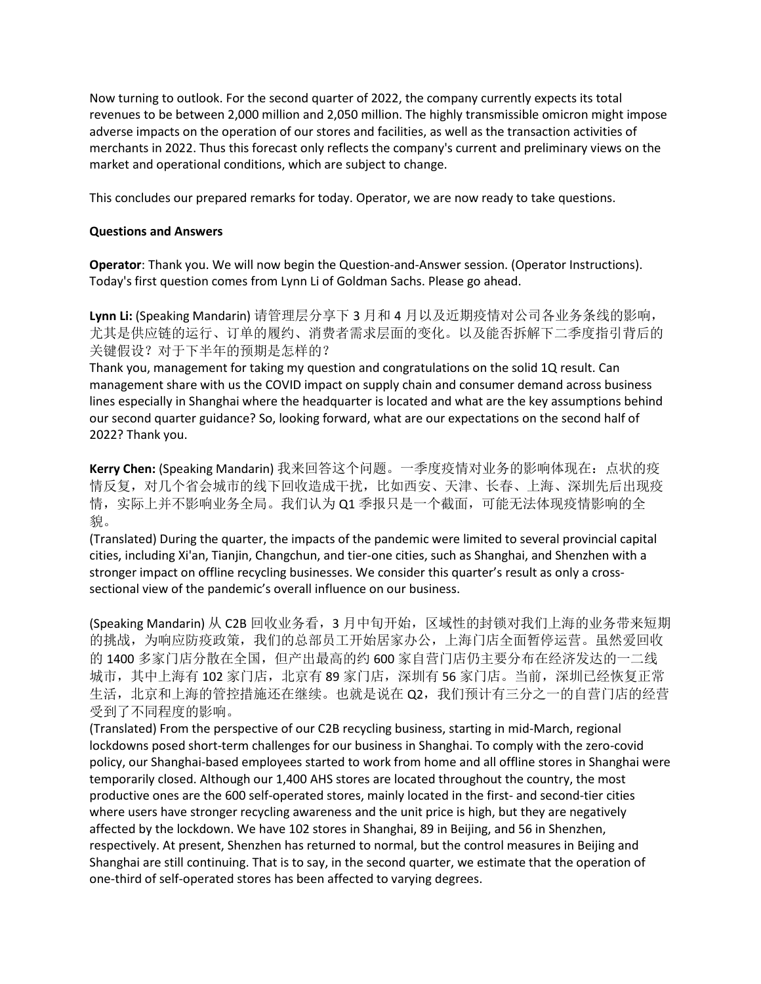Now turning to outlook. For the second quarter of 2022, the company currently expects its total revenues to be between 2,000 million and 2,050 million. The highly transmissible omicron might impose adverse impacts on the operation of our stores and facilities, as well as the transaction activities of merchants in 2022. Thus this forecast only reflects the company's current and preliminary views on the market and operational conditions, which are subject to change.

This concludes our prepared remarks for today. Operator, we are now ready to take questions.

# **Questions and Answers**

**Operator**: Thank you. We will now begin the Question-and-Answer session. (Operator Instructions). Today's first question comes from Lynn Li of Goldman Sachs. Please go ahead.

**Lynn Li:** (Speaking Mandarin) 请管理层分享下 3 月和 4 月以及近期疫情对公司各业务条线的影响, 尤其是供应链的运行、订单的履约、消费者需求层面的变化。以及能否拆解下二季度指引背后的 关键假设?对于下半年的预期是怎样的?

Thank you, management for taking my question and congratulations on the solid 1Q result. Can management share with us the COVID impact on supply chain and consumer demand across business lines especially in Shanghai where the headquarter is located and what are the key assumptions behind our second quarter guidance? So, looking forward, what are our expectations on the second half of 2022? Thank you.

**Kerry Chen:** (Speaking Mandarin) 我来回答这个问题。一季度疫情对业务的影响体现在:点状的疫 情反复,对几个省会城市的线下回收造成干扰,比如西安、天津、长春、上海、深圳先后出现疫 情,实际上并不影响业务全局。我们认为 Q1 季报只是一个截面,可能无法体现疫情影响的全 貌。

(Translated) During the quarter, the impacts of the pandemic were limited to several provincial capital cities, including Xi'an, Tianjin, Changchun, and tier-one cities, such as Shanghai, and Shenzhen with a stronger impact on offline recycling businesses. We consider this quarter's result as only a crosssectional view of the pandemic's overall influence on our business.

(Speaking Mandarin) 从 C2B 回收业务看,3 月中旬开始,区域性的封锁对我们上海的业务带来短期 的挑战,为响应防疫政策,我们的总部员工开始居家办公,上海门店全面暂停运营。虽然爱回收 的 1400 多家门店分散在全国,但产出最高的约 600 家自营门店仍主要分布在经济发达的一二线 城市, 其中上海有 102 家门店, 北京有 89 家门店, 深圳有 56 家门店。当前, 深圳已经恢复正常 生活,北京和上海的管控措施还在继续。也就是说在 Q2,我们预计有三分之一的自营门店的经营 受到了不同程度的影响。

(Translated) From the perspective of our C2B recycling business, starting in mid-March, regional lockdowns posed short-term challenges for our business in Shanghai. To comply with the zero-covid policy, our Shanghai-based employees started to work from home and all offline stores in Shanghai were temporarily closed. Although our 1,400 AHS stores are located throughout the country, the most productive ones are the 600 self-operated stores, mainly located in the first- and second-tier cities where users have stronger recycling awareness and the unit price is high, but they are negatively affected by the lockdown. We have 102 stores in Shanghai, 89 in Beijing, and 56 in Shenzhen, respectively. At present, Shenzhen has returned to normal, but the control measures in Beijing and Shanghai are still continuing. That is to say, in the second quarter, we estimate that the operation of one-third of self-operated stores has been affected to varying degrees.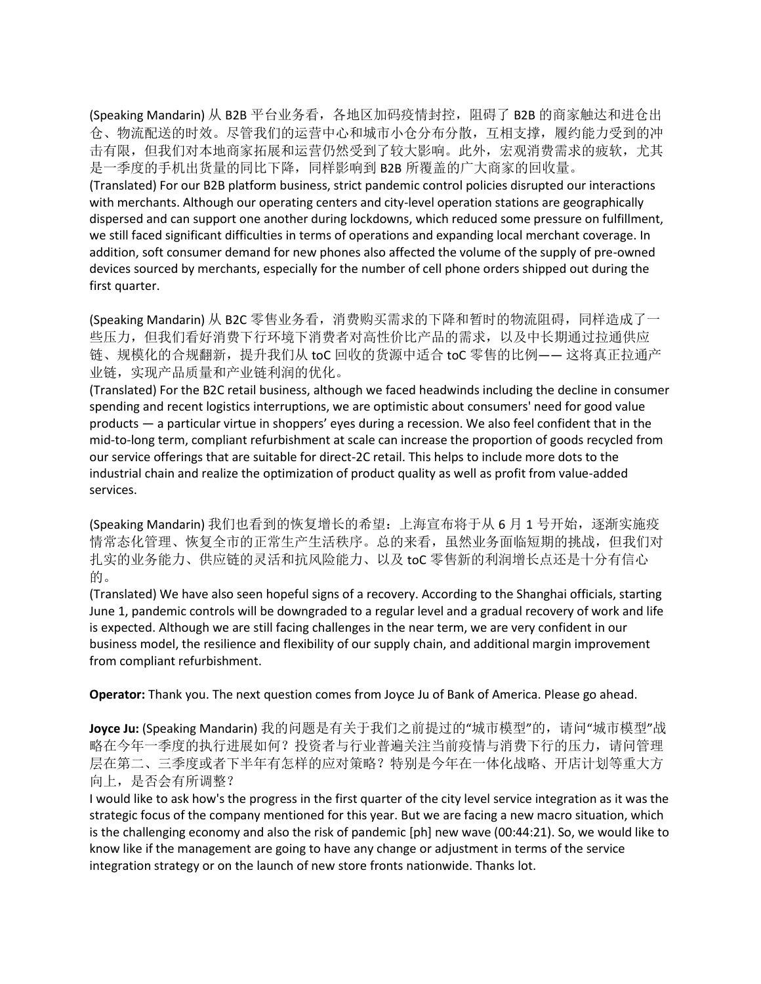(Speaking Mandarin) 从 B2B 平台业务看, 各地区加码疫情封控, 阻碍了 B2B 的商家触达和进仓出 仓、物流配送的时效。尽管我们的运营中心和城市小仓分布分散,互相支撑,履约能力受到的冲 击有限,但我们对本地商家拓展和运营仍然受到了较大影响。此外,宏观消费需求的疲软,尤其 是一季度的手机出货量的同比下降,同样影响到 B2B 所覆盖的广大商家的回收量。

(Translated) For our B2B platform business, strict pandemic control policies disrupted our interactions with merchants. Although our operating centers and city-level operation stations are geographically dispersed and can support one another during lockdowns, which reduced some pressure on fulfillment, we still faced significant difficulties in terms of operations and expanding local merchant coverage. In addition, soft consumer demand for new phones also affected the volume of the supply of pre-owned devices sourced by merchants, especially for the number of cell phone orders shipped out during the first quarter.

(Speaking Mandarin) 从 B2C 零售业务看, 消费购买需求的下降和暂时的物流阻碍, 同样造成了一 些压力,但我们看好消费下行环境下消费者对高性价比产品的需求,以及中长期通过拉通供应 链、规模化的合规翻新,提升我们从 toC 回收的货源中适合 toC 零售的比例—— 这将真正拉通产 业链,实现产品质量和产业链利润的优化。

(Translated) For the B2C retail business, although we faced headwinds including the decline in consumer spending and recent logistics interruptions, we are optimistic about consumers' need for good value products — a particular virtue in shoppers' eyes during a recession. We also feel confident that in the mid-to-long term, compliant refurbishment at scale can increase the proportion of goods recycled from our service offerings that are suitable for direct-2C retail. This helps to include more dots to the industrial chain and realize the optimization of product quality as well as profit from value-added services.

(Speaking Mandarin) 我们也看到的恢复增长的希望: 上海宣布将于从 6 月 1 号开始, 逐渐实施疫 情常态化管理、恢复全市的正常生产生活秩序。总的来看,虽然业务面临短期的挑战,但我们对 扎实的业务能力、供应链的灵活和抗风险能力、以及 toC 零售新的利润增长点还是十分有信心 的。

(Translated) We have also seen hopeful signs of a recovery. According to the Shanghai officials, starting June 1, pandemic controls will be downgraded to a regular level and a gradual recovery of work and life is expected. Although we are still facing challenges in the near term, we are very confident in our business model, the resilience and flexibility of our supply chain, and additional margin improvement from compliant refurbishment.

**Operator:** Thank you. The next question comes from Joyce Ju of Bank of America. Please go ahead.

**Joyce Ju:** (Speaking Mandarin) 我的问题是有关于我们之前提过的"城市模型"的,请问"城市模型"战 略在今年一季度的执行进展如何?投资者与行业普遍关注当前疫情与消费下行的压力,请问管理 层在第二、三季度或者下半年有怎样的应对策略?特别是今年在一体化战略、开店计划等重大方 向上,是否会有所调整?

I would like to ask how's the progress in the first quarter of the city level service integration as it was the strategic focus of the company mentioned for this year. But we are facing a new macro situation, which is the challenging economy and also the risk of pandemic [ph] new wave (00:44:21). So, we would like to know like if the management are going to have any change or adjustment in terms of the service integration strategy or on the launch of new store fronts nationwide. Thanks lot.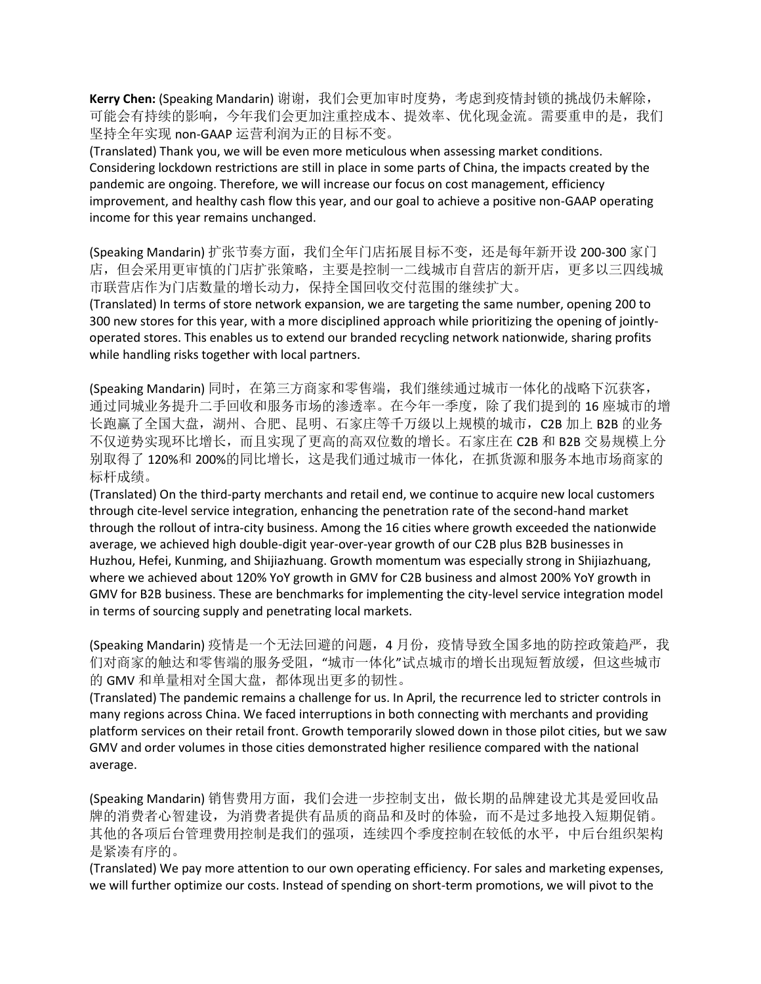Kerry Chen: (Speaking Mandarin) 谢谢, 我们会更加审时度势, 考虑到疫情封锁的挑战仍未解除, 可能会有持续的影响,今年我们会更加注重控成本、提效率、优化现金流。需要重申的是,我们 坚持全年实现 non-GAAP 运营利润为正的目标不变。

(Translated) Thank you, we will be even more meticulous when assessing market conditions. Considering lockdown restrictions are still in place in some parts of China, the impacts created by the pandemic are ongoing. Therefore, we will increase our focus on cost management, efficiency improvement, and healthy cash flow this year, and our goal to achieve a positive non-GAAP operating income for this year remains unchanged.

(Speaking Mandarin) 扩张节奏方面, 我们全年门店拓展目标不变, 还是每年新开设 200-300 家门 店,但会采用更审慎的门店扩张策略,主要是控制一二线城市自营店的新开店,更多以三四线城 市联营店作为门店数量的增长动力,保持全国回收交付范围的继续扩大。

(Translated) In terms of store network expansion, we are targeting the same number, opening 200 to 300 new stores for this year, with a more disciplined approach while prioritizing the opening of jointlyoperated stores. This enables us to extend our branded recycling network nationwide, sharing profits while handling risks together with local partners.

(Speaking Mandarin) 同时,在第三方商家和零售端,我们继续通过城市一体化的战略下沉获客, 通过同城业务提升二手回收和服务市场的渗透率。在今年一季度,除了我们提到的 16 座城市的增 长跑赢了全国大盘,湖州、合肥、昆明、石家庄等千万级以上规模的城市,C2B 加上 B2B 的业务 不仅逆势实现环比增长,而且实现了更高的高双位数的增长。石家庄在 C2B 和 B2B 交易规模上分 别取得了120%和200%的同比增长,这是我们通过城市一体化,在抓货源和服务本地市场商家的 标杆成绩。

(Translated) On the third-party merchants and retail end, we continue to acquire new local customers through cite-level service integration, enhancing the penetration rate of the second-hand market through the rollout of intra-city business. Among the 16 cities where growth exceeded the nationwide average, we achieved high double-digit year-over-year growth of our C2B plus B2B businesses in Huzhou, Hefei, Kunming, and Shijiazhuang. Growth momentum was especially strong in Shijiazhuang, where we achieved about 120% YoY growth in GMV for C2B business and almost 200% YoY growth in GMV for B2B business. These are benchmarks for implementing the city-level service integration model in terms of sourcing supply and penetrating local markets.

(Speaking Mandarin) 疫情是一个无法回避的问题, 4 月份, 疫情导致全国多地的防控政策趋严, 我 们对商家的触达和零售端的服务受阻,"城市一体化"试点城市的增长出现短暂放缓,但这些城市 的 GMV 和单量相对全国大盘,都体现出更多的韧性。

(Translated) The pandemic remains a challenge for us. In April, the recurrence led to stricter controls in many regions across China. We faced interruptions in both connecting with merchants and providing platform services on their retail front. Growth temporarily slowed down in those pilot cities, but we saw GMV and order volumes in those cities demonstrated higher resilience compared with the national average.

(Speaking Mandarin) 销售费用方面, 我们会进一步控制支出, 做长期的品牌建设尤其是爱回收品 牌的消费者心智建设,为消费者提供有品质的商品和及时的体验,而不是过多地投入短期促销。 其他的各项后台管理费用控制是我们的强项,连续四个季度控制在较低的水平,中后台组织架构 是紧凑有序的。

(Translated) We pay more attention to our own operating efficiency. For sales and marketing expenses, we will further optimize our costs. Instead of spending on short-term promotions, we will pivot to the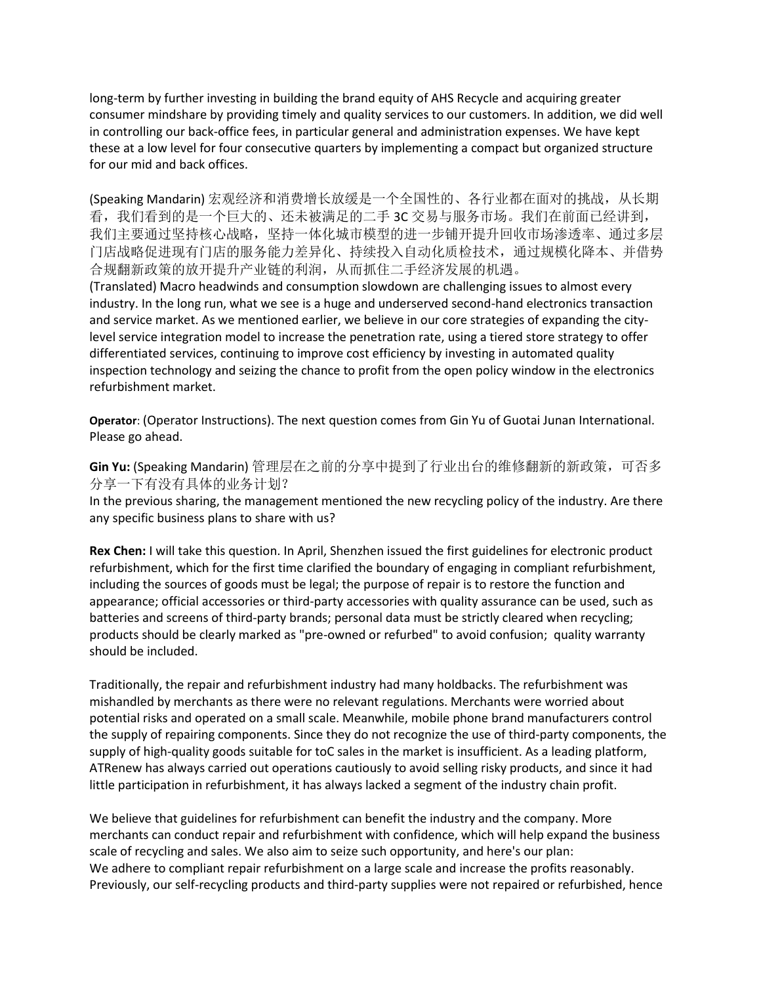long-term by further investing in building the brand equity of AHS Recycle and acquiring greater consumer mindshare by providing timely and quality services to our customers. In addition, we did well in controlling our back-office fees, in particular general and administration expenses. We have kept these at a low level for four consecutive quarters by implementing a compact but organized structure for our mid and back offices.

(Speaking Mandarin) 宏观经济和消费增长放缓是一个全国性的、各行业都在面对的挑战, 从长期 看,我们看到的是一个巨大的、还未被满足的二手 3C 交易与服务市场。我们在前面已经讲到, 我们主要通过坚持核心战略,坚持一体化城市模型的进一步铺开提升回收市场渗透率、通过多层 门店战略促进现有门店的服务能力差异化、持续投入自动化质检技术,通过规模化降本、并借势 合规翻新政策的放开提升产业链的利润,从而抓住二手经济发展的机遇。

(Translated) Macro headwinds and consumption slowdown are challenging issues to almost every industry. In the long run, what we see is a huge and underserved second-hand electronics transaction and service market. As we mentioned earlier, we believe in our core strategies of expanding the citylevel service integration model to increase the penetration rate, using a tiered store strategy to offer differentiated services, continuing to improve cost efficiency by investing in automated quality inspection technology and seizing the chance to profit from the open policy window in the electronics refurbishment market.

**Operator**: (Operator Instructions). The next question comes from Gin Yu of Guotai Junan International. Please go ahead.

**Gin Yu:** (Speaking Mandarin) 管理层在之前的分享中提到了行业出台的维修翻新的新政策,可否多 分享一下有没有具体的业务计划?

In the previous sharing, the management mentioned the new recycling policy of the industry. Are there any specific business plans to share with us?

**Rex Chen:** I will take this question. In April, Shenzhen issued the first guidelines for electronic product refurbishment, which for the first time clarified the boundary of engaging in compliant refurbishment, including the sources of goods must be legal; the purpose of repair is to restore the function and appearance; official accessories or third-party accessories with quality assurance can be used, such as batteries and screens of third-party brands; personal data must be strictly cleared when recycling; products should be clearly marked as "pre-owned or refurbed" to avoid confusion; quality warranty should be included.

Traditionally, the repair and refurbishment industry had many holdbacks. The refurbishment was mishandled by merchants as there were no relevant regulations. Merchants were worried about potential risks and operated on a small scale. Meanwhile, mobile phone brand manufacturers control the supply of repairing components. Since they do not recognize the use of third-party components, the supply of high-quality goods suitable for toC sales in the market is insufficient. As a leading platform, ATRenew has always carried out operations cautiously to avoid selling risky products, and since it had little participation in refurbishment, it has always lacked a segment of the industry chain profit.

We believe that guidelines for refurbishment can benefit the industry and the company. More merchants can conduct repair and refurbishment with confidence, which will help expand the business scale of recycling and sales. We also aim to seize such opportunity, and here's our plan: We adhere to compliant repair refurbishment on a large scale and increase the profits reasonably. Previously, our self-recycling products and third-party supplies were not repaired or refurbished, hence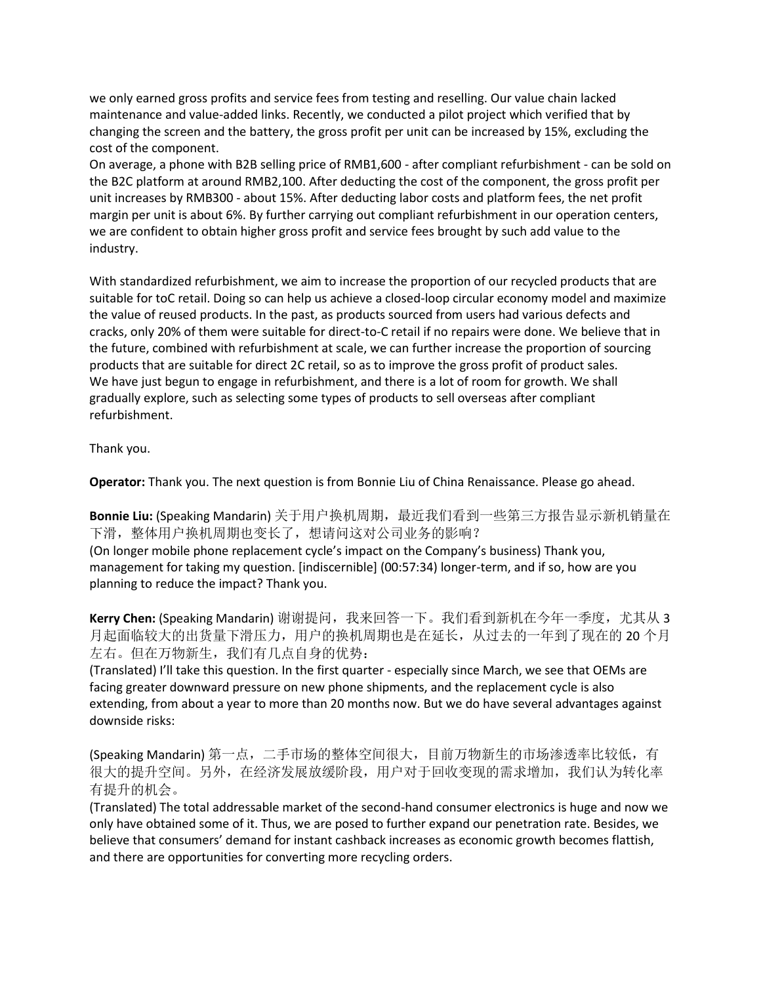we only earned gross profits and service fees from testing and reselling. Our value chain lacked maintenance and value-added links. Recently, we conducted a pilot project which verified that by changing the screen and the battery, the gross profit per unit can be increased by 15%, excluding the cost of the component.

On average, a phone with B2B selling price of RMB1,600 - after compliant refurbishment - can be sold on the B2C platform at around RMB2,100. After deducting the cost of the component, the gross profit per unit increases by RMB300 - about 15%. After deducting labor costs and platform fees, the net profit margin per unit is about 6%. By further carrying out compliant refurbishment in our operation centers, we are confident to obtain higher gross profit and service fees brought by such add value to the industry.

With standardized refurbishment, we aim to increase the proportion of our recycled products that are suitable for toC retail. Doing so can help us achieve a closed-loop circular economy model and maximize the value of reused products. In the past, as products sourced from users had various defects and cracks, only 20% of them were suitable for direct-to-C retail if no repairs were done. We believe that in the future, combined with refurbishment at scale, we can further increase the proportion of sourcing products that are suitable for direct 2C retail, so as to improve the gross profit of product sales. We have just begun to engage in refurbishment, and there is a lot of room for growth. We shall gradually explore, such as selecting some types of products to sell overseas after compliant refurbishment.

Thank you.

**Operator:** Thank you. The next question is from Bonnie Liu of China Renaissance. Please go ahead.

**Bonnie Liu:** (Speaking Mandarin) 关于用户换机周期,最近我们看到一些第三方报告显示新机销量在 下滑,整体用户换机周期也变长了,想请问这对公司业务的影响? (On longer mobile phone replacement cycle's impact on the Company's business) Thank you, management for taking my question. [indiscernible] (00:57:34) longer-term, and if so, how are you planning to reduce the impact? Thank you.

Kerry Chen: (Speaking Mandarin) 谢谢提问, 我来回答一下。我们看到新机在今年一季度, 尤其从 3 月起面临较大的出货量下滑压力,用户的换机周期也是在延长,从过去的一年到了现在的 20 个月 左右。但在万物新生,我们有几点自身的优势:

(Translated) I'll take this question. In the first quarter - especially since March, we see that OEMs are facing greater downward pressure on new phone shipments, and the replacement cycle is also extending, from about a year to more than 20 months now. But we do have several advantages against downside risks:

(Speaking Mandarin) 第一点,二手市场的整体空间很大,目前万物新生的市场渗透率比较低,有 很大的提升空间。另外,在经济发展放缓阶段,用户对于回收变现的需求增加,我们认为转化率 有提升的机会。

(Translated) The total addressable market of the second-hand consumer electronics is huge and now we only have obtained some of it. Thus, we are posed to further expand our penetration rate. Besides, we believe that consumers' demand for instant cashback increases as economic growth becomes flattish, and there are opportunities for converting more recycling orders.